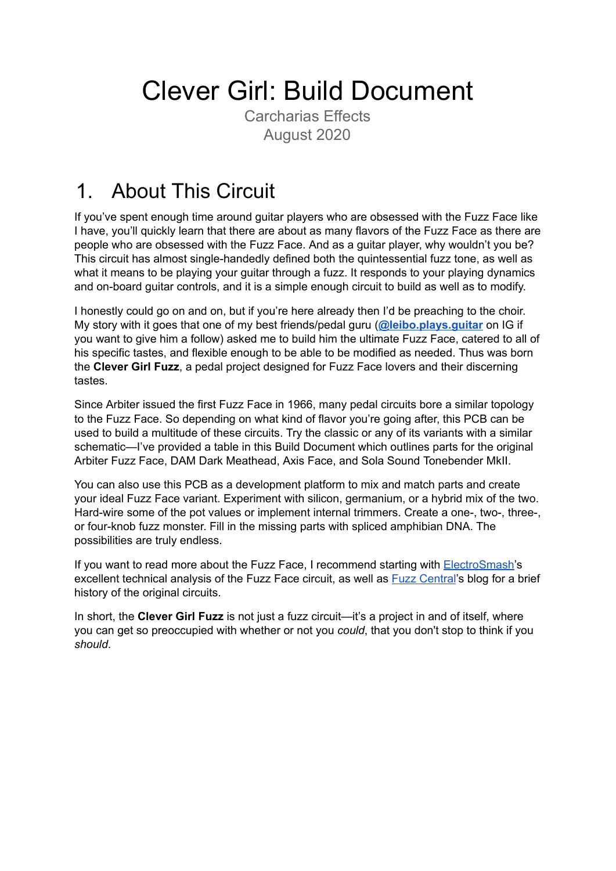# Clever Girl: Build Document

Carcharias Effects August 2020

### 1. About This Circuit

If you've spent enough time around guitar players who are obsessed with the Fuzz Face like I have, you'll quickly learn that there are about as many flavors of the Fuzz Face as there are people who are obsessed with the Fuzz Face. And as a guitar player, why wouldn't you be? This circuit has almost single-handedly defined both the quintessential fuzz tone, as well as what it means to be playing your guitar through a fuzz. It responds to your playing dynamics and on-board guitar controls, and it is a simple enough circuit to build as well as to modify.

I honestly could go on and on, but if you're here already then I'd be preaching to the choir. My story with it goes that one of my best friends/pedal guru (**[@leibo.plays.guitar](https://instagram.com/leibo.plays.guitar)** on IG if you want to give him a follow) asked me to build him the ultimate Fuzz Face, catered to all of his specific tastes, and flexible enough to be able to be modified as needed. Thus was born the **Clever Girl Fuzz**, a pedal project designed for Fuzz Face lovers and their discerning tastes.

Since Arbiter issued the first Fuzz Face in 1966, many pedal circuits bore a similar topology to the Fuzz Face. So depending on what kind of flavor you're going after, this PCB can be used to build a multitude of these circuits. Try the classic or any of its variants with a similar schematic—I've provided a table in this Build Document which outlines parts for the original Arbiter Fuzz Face, DAM Dark Meathead, Axis Face, and Sola Sound Tonebender MkII.

You can also use this PCB as a development platform to mix and match parts and create your ideal Fuzz Face variant. Experiment with silicon, germanium, or a hybrid mix of the two. Hard-wire some of the pot values or implement internal trimmers. Create a one-, two-, three-, or four-knob fuzz monster. Fill in the missing parts with spliced amphibian DNA. The possibilities are truly endless.

If you want to read more about the Fuzz Face, I recommend starting with **[ElectroSmash'](https://www.electrosmash.com/fuzz-face)s** excellent technical analysis of the Fuzz Face circuit, as well as **Fuzz [Central](http://fuzzcentral.ssguitar.com/fuzzface.php)'s blog for a brief** history of the original circuits.

In short, the **Clever Girl Fuzz** is not just a fuzz circuit—it's a project in and of itself, where you can get so preoccupied with whether or not you *could*, that you don't stop to think if you *should*.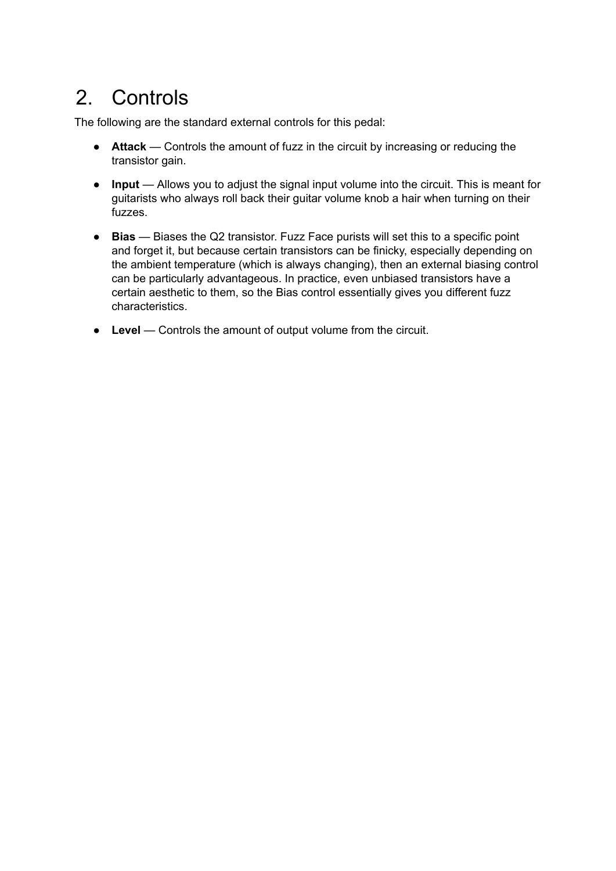## 2. Controls

The following are the standard external controls for this pedal:

- **Attack** Controls the amount of fuzz in the circuit by increasing or reducing the transistor gain.
- **Input** Allows you to adjust the signal input volume into the circuit. This is meant for guitarists who always roll back their guitar volume knob a hair when turning on their fuzzes.
- **Bias** Biases the Q2 transistor. Fuzz Face purists will set this to a specific point and forget it, but because certain transistors can be finicky, especially depending on the ambient temperature (which is always changing), then an external biasing control can be particularly advantageous. In practice, even unbiased transistors have a certain aesthetic to them, so the Bias control essentially gives you different fuzz characteristics.
- **Level** Controls the amount of output volume from the circuit.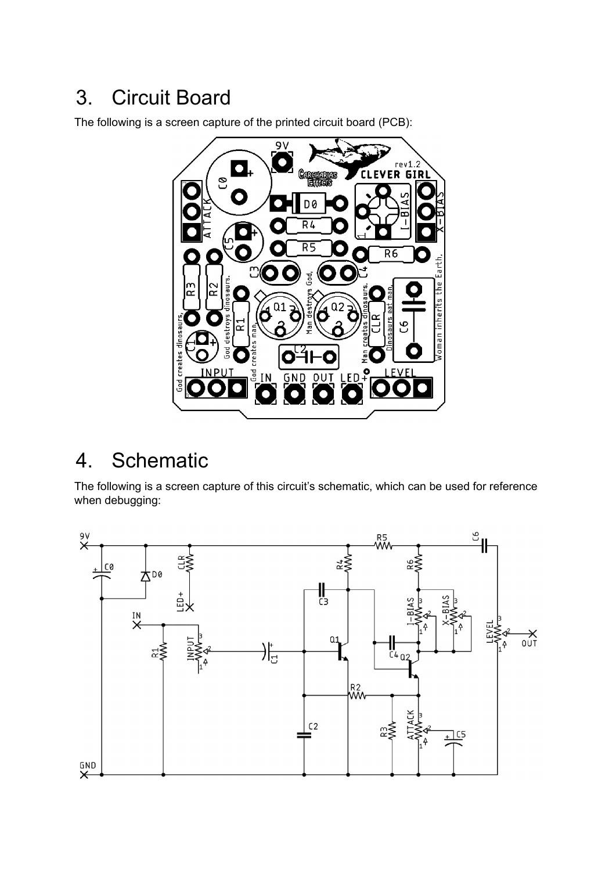## 3. Circuit Board

The following is a screen capture of the printed circuit board (PCB):



### 4. Schematic

The following is a screen capture of this circuit's schematic, which can be used for reference when debugging:

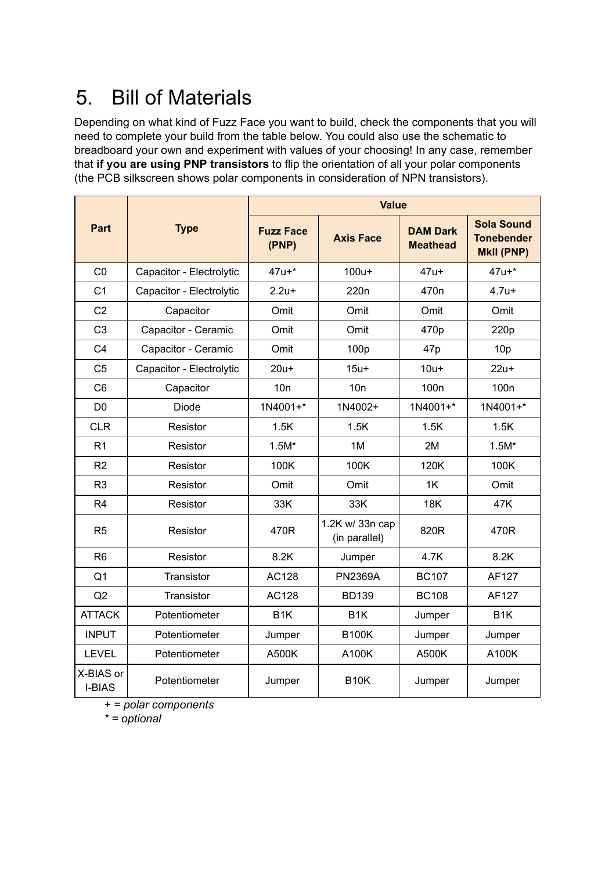# 5. Bill of Materials

Depending on what kind of Fuzz Face you want to build, check the components that you will need to complete your build from the table below. You could also use the schematic to breadboard your own and experiment with values of your choosing! In any case, remember that **if you are using PNP transistors** to flip the orientation of all your polar components (the PCB silkscreen shows polar components in consideration of NPN transistors).

|                            |                          | <b>Value</b>              |                                  |                                    |                                                             |
|----------------------------|--------------------------|---------------------------|----------------------------------|------------------------------------|-------------------------------------------------------------|
| <b>Part</b>                | <b>Type</b>              | <b>Fuzz Face</b><br>(PNP) | <b>Axis Face</b>                 | <b>DAM Dark</b><br><b>Meathead</b> | <b>Sola Sound</b><br><b>Tonebender</b><br><b>MkII (PNP)</b> |
| CO                         | Capacitor - Electrolytic | $47u +$ *                 | $100u+$                          | $47u+$                             | $47u +$ *                                                   |
| C <sub>1</sub>             | Capacitor - Electrolytic | $2.2u +$                  | 220 <sub>n</sub>                 | 470 <sub>n</sub>                   | $4.7u +$                                                    |
| C <sub>2</sub>             | Capacitor                | Omit                      | Omit                             | Omit                               | Omit                                                        |
| C <sub>3</sub>             | Capacitor - Ceramic      | Omit                      | Omit                             | 470p                               | 220p                                                        |
| C <sub>4</sub>             | Capacitor - Ceramic      | Omit                      | 100p                             | 47p                                | 10 <sub>p</sub>                                             |
| C <sub>5</sub>             | Capacitor - Electrolytic | $20u+$                    | $15u+$                           | $10u+$                             | $22u+$                                                      |
| C <sub>6</sub>             | Capacitor                | 10n                       | 10n                              | 100 <sub>n</sub>                   | 100 <sub>n</sub>                                            |
| D <sub>0</sub>             | Diode                    | 1N4001+*                  | 1N4002+                          | 1N4001+*                           | 1N4001+*                                                    |
| <b>CLR</b>                 | Resistor                 | 1.5K                      | 1.5K                             | 1.5K                               | 1.5K                                                        |
| R <sub>1</sub>             | Resistor                 | $1.5M*$                   | 1M                               | 2M                                 | $1.5M*$                                                     |
| R <sub>2</sub>             | Resistor                 | 100K                      | 100K                             | 120K                               | 100K                                                        |
| R <sub>3</sub>             | Resistor                 | Omit                      | Omit                             | 1K                                 | Omit                                                        |
| R <sub>4</sub>             | Resistor                 | 33K                       | 33K                              | <b>18K</b>                         | 47K                                                         |
| R <sub>5</sub>             | Resistor                 | 470R                      | 1.2K w/ 33n cap<br>(in parallel) | 820R                               | 470R                                                        |
| R <sub>6</sub>             | Resistor                 | 8.2K                      | Jumper                           | 4.7K                               | 8.2K                                                        |
| Q <sub>1</sub>             | Transistor               | AC128                     | <b>PN2369A</b>                   | <b>BC107</b>                       | AF127                                                       |
| Q2                         | Transistor               | AC128                     | <b>BD139</b>                     | <b>BC108</b>                       | AF127                                                       |
| <b>ATTACK</b>              | Potentiometer            | B <sub>1</sub> K          | B <sub>1</sub> K                 | Jumper                             | B <sub>1</sub> K                                            |
| <b>INPUT</b>               | Potentiometer            | Jumper                    | <b>B100K</b>                     | Jumper                             | Jumper                                                      |
| <b>LEVEL</b>               | Potentiometer            | A500K                     | A100K                            | A500K                              | A100K                                                       |
| X-BIAS or<br><b>I-BIAS</b> | Potentiometer            | Jumper                    | <b>B10K</b>                      | Jumper                             | Jumper                                                      |

*+ = polar components*

*\* = optional*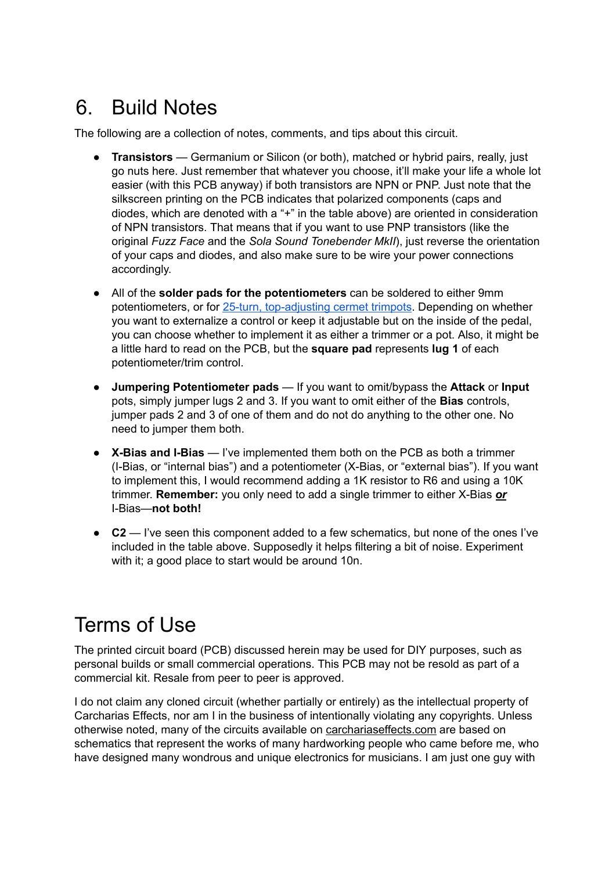### 6. Build Notes

The following are a collection of notes, comments, and tips about this circuit.

- **Transistors** Germanium or Silicon (or both), matched or hybrid pairs, really, just go nuts here. Just remember that whatever you choose, it'll make your life a whole lot easier (with this PCB anyway) if both transistors are NPN or PNP. Just note that the silkscreen printing on the PCB indicates that polarized components (caps and diodes, which are denoted with a "+" in the table above) are oriented in consideration of NPN transistors. That means that if you want to use PNP transistors (like the original *Fuzz Face* and the *Sola Sound Tonebender MkII*), just reverse the orientation of your caps and diodes, and also make sure to be wire your power connections accordingly.
- All of the **solder pads for the potentiometers** can be soldered to either 9mm potentiometers, or for 25-turn, [top-adjusting](https://www.taydaelectronics.com/250k-ohm-trimmer-potentiometer-cermet-25-turns-3296-3296w.html) cermet trimpots. Depending on whether you want to externalize a control or keep it adjustable but on the inside of the pedal, you can choose whether to implement it as either a trimmer or a pot. Also, it might be a little hard to read on the PCB, but the **square pad** represents **lug 1** of each potentiometer/trim control.
- **Jumpering Potentiometer pads** If you want to omit/bypass the **Attack** or **Input** pots, simply jumper lugs 2 and 3. If you want to omit either of the **Bias** controls, jumper pads 2 and 3 of one of them and do not do anything to the other one. No need to jumper them both.
- **X-Bias and I-Bias** I've implemented them both on the PCB as both a trimmer (I-Bias, or "internal bias") and a potentiometer (X-Bias, or "external bias"). If you want to implement this, I would recommend adding a 1K resistor to R6 and using a 10K trimmer. **Remember:** you only need to add a single trimmer to either X-Bias *or* I-Bias—**not both!**
- **C2** I've seen this component added to a few schematics, but none of the ones I've included in the table above. Supposedly it helps filtering a bit of noise. Experiment with it; a good place to start would be around 10n.

### Terms of Use

The printed circuit board (PCB) discussed herein may be used for DIY purposes, such as personal builds or small commercial operations. This PCB may not be resold as part of a commercial kit. Resale from peer to peer is approved.

I do not claim any cloned circuit (whether partially or entirely) as the intellectual property of Carcharias Effects, nor am I in the business of intentionally violating any copyrights. Unless otherwise noted, many of the circuits available on carchariaseffects.com are based on schematics that represent the works of many hardworking people who came before me, who have designed many wondrous and unique electronics for musicians. I am just one guy with